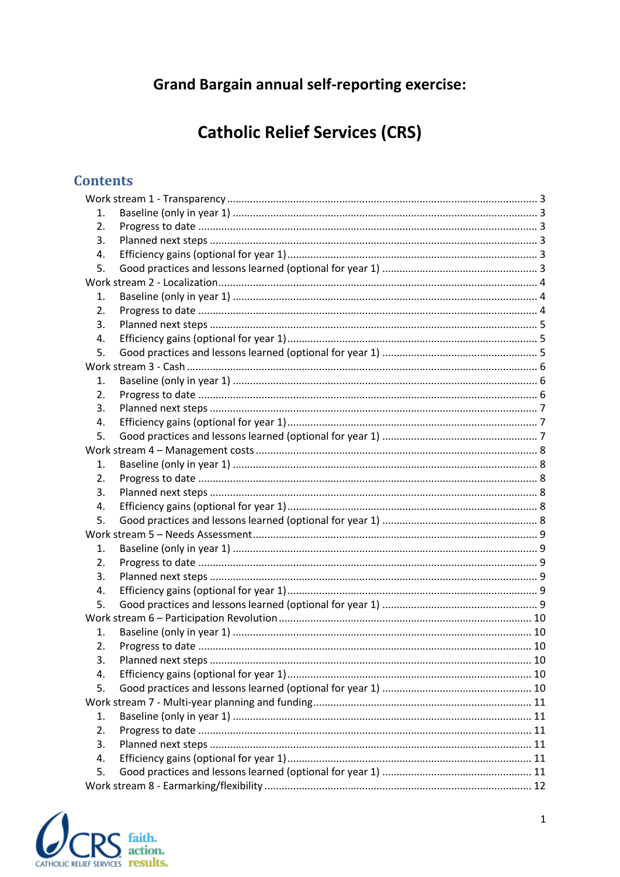# **Grand Bargain annual self-reporting exercise:**

# **Catholic Relief Services (CRS)**

# **Contents**

| 1.               |  |  |  |
|------------------|--|--|--|
| 2.               |  |  |  |
| 3.               |  |  |  |
| 4.               |  |  |  |
| 5.               |  |  |  |
|                  |  |  |  |
| 1.               |  |  |  |
| 2.               |  |  |  |
| 3.               |  |  |  |
| 4.               |  |  |  |
| 5.               |  |  |  |
|                  |  |  |  |
| 1.               |  |  |  |
| $\overline{2}$ . |  |  |  |
| 3.               |  |  |  |
| 4.               |  |  |  |
| 5.               |  |  |  |
|                  |  |  |  |
| 1.               |  |  |  |
| 2.               |  |  |  |
| 3.               |  |  |  |
| 4.               |  |  |  |
| 5.               |  |  |  |
|                  |  |  |  |
| 1.               |  |  |  |
| $\overline{2}$ . |  |  |  |
| 3.               |  |  |  |
| 4.               |  |  |  |
| 5.               |  |  |  |
|                  |  |  |  |
| 1.               |  |  |  |
| 2.               |  |  |  |
| 3.               |  |  |  |
| 4.               |  |  |  |
| 5.               |  |  |  |
|                  |  |  |  |
| 1.               |  |  |  |
| 2.               |  |  |  |
| 3.               |  |  |  |
| 4.               |  |  |  |
| 5.               |  |  |  |
|                  |  |  |  |

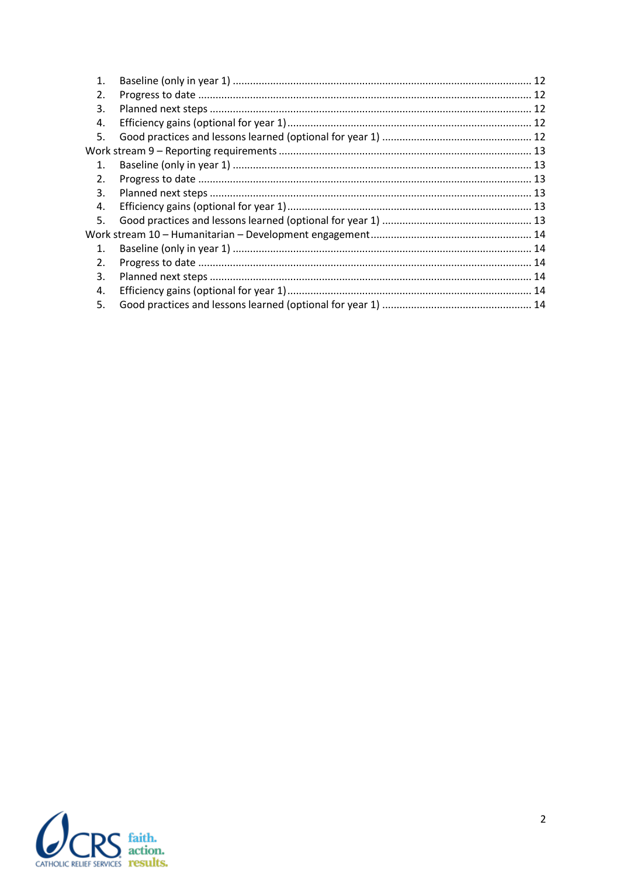| 1.             |  |
|----------------|--|
| 2.             |  |
| 3.             |  |
| 4.             |  |
| 5.             |  |
|                |  |
| $\mathbf 1$ .  |  |
| 2.             |  |
| 3.             |  |
| 4.             |  |
| 5.             |  |
|                |  |
| $\mathbf{1}$ . |  |
| 2.             |  |
| 3.             |  |
| 4.             |  |
| 5.             |  |
|                |  |

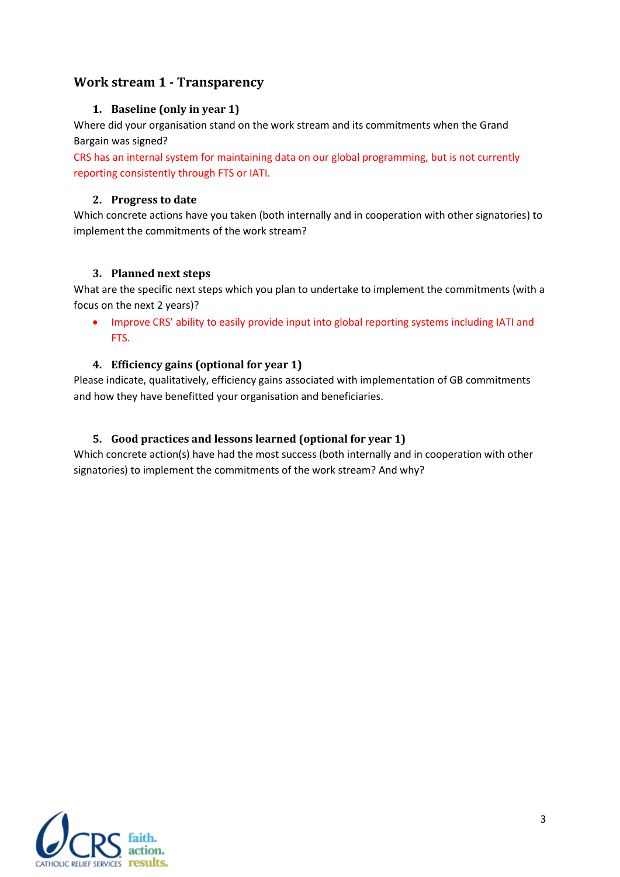# <span id="page-2-1"></span><span id="page-2-0"></span>**Work stream 1 - Transparency**

## **1. Baseline (only in year 1)**

Where did your organisation stand on the work stream and its commitments when the Grand Bargain was signed?

CRS has an internal system for maintaining data on our global programming, but is not currently reporting consistently through FTS or IATI.

#### <span id="page-2-2"></span>**2. Progress to date**

Which concrete actions have you taken (both internally and in cooperation with other signatories) to implement the commitments of the work stream?

#### <span id="page-2-3"></span>**3. Planned next steps**

What are the specific next steps which you plan to undertake to implement the commitments (with a focus on the next 2 years)?

 Improve CRS' ability to easily provide input into global reporting systems including IATI and FTS.

#### <span id="page-2-4"></span>**4. Efficiency gains (optional for year 1)**

Please indicate, qualitatively, efficiency gains associated with implementation of GB commitments and how they have benefitted your organisation and beneficiaries.

#### <span id="page-2-5"></span>**5. Good practices and lessons learned (optional for year 1)**

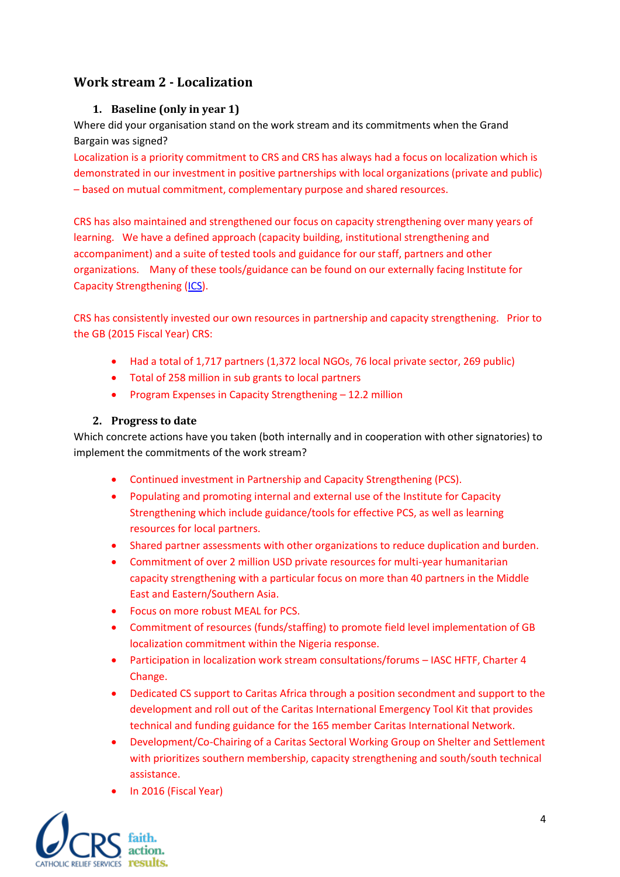# <span id="page-3-1"></span><span id="page-3-0"></span>**Work stream 2 - Localization**

## **1. Baseline (only in year 1)**

Where did your organisation stand on the work stream and its commitments when the Grand Bargain was signed?

Localization is a priority commitment to CRS and CRS has always had a focus on localization which is demonstrated in our investment in positive partnerships with local organizations (private and public) – based on mutual commitment, complementary purpose and shared resources.

CRS has also maintained and strengthened our focus on capacity strengthening over many years of learning. We have a defined approach (capacity building, institutional strengthening and accompaniment) and a suite of tested tools and guidance for our staff, partners and other organizations. Many of these tools/guidance can be found on our externally facing Institute for Capacity Strengthening [\(ICS\)](http://www.ics.crs.org/).

CRS has consistently invested our own resources in partnership and capacity strengthening. Prior to the GB (2015 Fiscal Year) CRS:

- Had a total of 1,717 partners (1,372 local NGOs, 76 local private sector, 269 public)
- Total of 258 million in sub grants to local partners
- Program Expenses in Capacity Strengthening 12.2 million

#### **2. Progress to date**

<span id="page-3-2"></span>Which concrete actions have you taken (both internally and in cooperation with other signatories) to implement the commitments of the work stream?

- Continued investment in Partnership and Capacity Strengthening (PCS).
- Populating and promoting internal and external use of the Institute for Capacity Strengthening which include guidance/tools for effective PCS, as well as learning resources for local partners.
- Shared partner assessments with other organizations to reduce duplication and burden.
- Commitment of over 2 million USD private resources for multi-year humanitarian capacity strengthening with a particular focus on more than 40 partners in the Middle East and Eastern/Southern Asia.
- Focus on more robust MEAL for PCS.
- Commitment of resources (funds/staffing) to promote field level implementation of GB localization commitment within the Nigeria response.
- Participation in localization work stream consultations/forums IASC HFTF, Charter 4 Change.
- Dedicated CS support to Caritas Africa through a position secondment and support to the development and roll out of the Caritas International Emergency Tool Kit that provides technical and funding guidance for the 165 member Caritas International Network.
- Development/Co-Chairing of a Caritas Sectoral Working Group on Shelter and Settlement with prioritizes southern membership, capacity strengthening and south/south technical assistance.
- In 2016 (Fiscal Year)

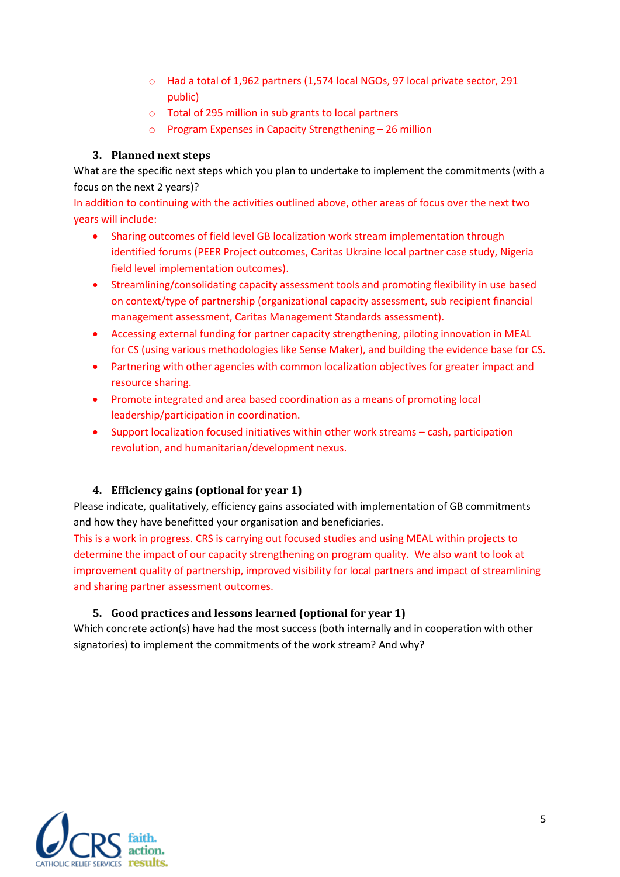- o Had a total of 1,962 partners (1,574 local NGOs, 97 local private sector, 291 public)
- o Total of 295 million in sub grants to local partners
- o Program Expenses in Capacity Strengthening 26 million

## **3. Planned next steps**

<span id="page-4-0"></span>What are the specific next steps which you plan to undertake to implement the commitments (with a focus on the next 2 years)?

In addition to continuing with the activities outlined above, other areas of focus over the next two years will include:

- Sharing outcomes of field level GB localization work stream implementation through identified forums (PEER Project outcomes, Caritas Ukraine local partner case study, Nigeria field level implementation outcomes).
- Streamlining/consolidating capacity assessment tools and promoting flexibility in use based on context/type of partnership (organizational capacity assessment, sub recipient financial management assessment, Caritas Management Standards assessment).
- Accessing external funding for partner capacity strengthening, piloting innovation in MEAL for CS (using various methodologies like Sense Maker), and building the evidence base for CS.
- Partnering with other agencies with common localization objectives for greater impact and resource sharing.
- Promote integrated and area based coordination as a means of promoting local leadership/participation in coordination.
- Support localization focused initiatives within other work streams cash, participation revolution, and humanitarian/development nexus.

## <span id="page-4-1"></span>**4. Efficiency gains (optional for year 1)**

Please indicate, qualitatively, efficiency gains associated with implementation of GB commitments and how they have benefitted your organisation and beneficiaries.

This is a work in progress. CRS is carrying out focused studies and using MEAL within projects to determine the impact of our capacity strengthening on program quality. We also want to look at improvement quality of partnership, improved visibility for local partners and impact of streamlining and sharing partner assessment outcomes.

## <span id="page-4-2"></span>**5. Good practices and lessons learned (optional for year 1)**

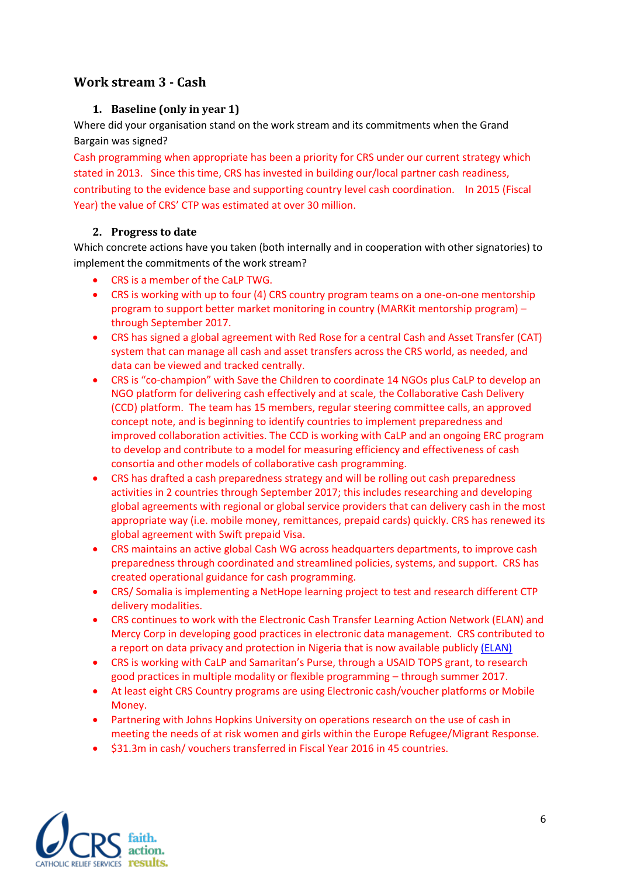# <span id="page-5-1"></span><span id="page-5-0"></span>**Work stream 3 - Cash**

# **1. Baseline (only in year 1)**

Where did your organisation stand on the work stream and its commitments when the Grand Bargain was signed?

Cash programming when appropriate has been a priority for CRS under our current strategy which stated in 2013. Since this time, CRS has invested in building our/local partner cash readiness, contributing to the evidence base and supporting country level cash coordination. In 2015 (Fiscal Year) the value of CRS' CTP was estimated at over 30 million.

## <span id="page-5-2"></span>**2. Progress to date**

Which concrete actions have you taken (both internally and in cooperation with other signatories) to implement the commitments of the work stream?

- CRS is a member of the CaLP TWG.
- CRS is working with up to four (4) CRS country program teams on a one-on-one mentorship program to support better market monitoring in country (MARKit mentorship program) – through September 2017.
- CRS has signed a global agreement with Red Rose for a central Cash and Asset Transfer (CAT) system that can manage all cash and asset transfers across the CRS world, as needed, and data can be viewed and tracked centrally.
- CRS is "co-champion" with Save the Children to coordinate 14 NGOs plus CaLP to develop an NGO platform for delivering cash effectively and at scale, the Collaborative Cash Delivery (CCD) platform. The team has 15 members, regular steering committee calls, an approved concept note, and is beginning to identify countries to implement preparedness and improved collaboration activities. The CCD is working with CaLP and an ongoing ERC program to develop and contribute to a model for measuring efficiency and effectiveness of cash consortia and other models of collaborative cash programming.
- CRS has drafted a cash preparedness strategy and will be rolling out cash preparedness activities in 2 countries through September 2017; this includes researching and developing global agreements with regional or global service providers that can delivery cash in the most appropriate way (i.e. mobile money, remittances, prepaid cards) quickly. CRS has renewed its global agreement with Swift prepaid Visa.
- CRS maintains an active global Cash WG across headquarters departments, to improve cash preparedness through coordinated and streamlined policies, systems, and support. CRS has created operational guidance for cash programming.
- CRS/ Somalia is implementing a NetHope learning project to test and research different CTP delivery modalities.
- CRS continues to work with the Electronic Cash Transfer Learning Action Network (ELAN) and Mercy Corp in developing good practices in electronic data management. CRS contributed to a report on data privacy and protection in Nigeria that is now available publicly [\(ELAN\)](http://www.cashlearning.org/downloads/elan-data-protection-case-studynigeria-final.pdf?mc_cid=cd8d51990c&mc_eid=089d8ee473)
- CRS is working with CaLP and Samaritan's Purse, through a USAID TOPS grant, to research good practices in multiple modality or flexible programming – through summer 2017.
- At least eight CRS Country programs are using Electronic cash/voucher platforms or Mobile Money.
- Partnering with Johns Hopkins University on operations research on the use of cash in meeting the needs of at risk women and girls within the Europe Refugee/Migrant Response.
- \$31.3m in cash/ vouchers transferred in Fiscal Year 2016 in 45 countries.

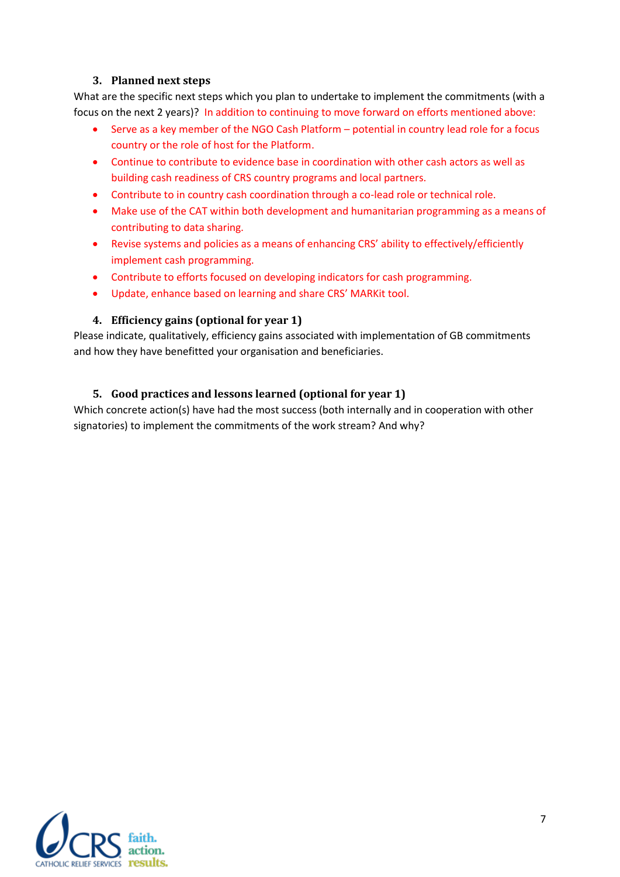#### **3. Planned next steps**

<span id="page-6-0"></span>What are the specific next steps which you plan to undertake to implement the commitments (with a focus on the next 2 years)? In addition to continuing to move forward on efforts mentioned above:

- Serve as a key member of the NGO Cash Platform potential in country lead role for a focus country or the role of host for the Platform.
- Continue to contribute to evidence base in coordination with other cash actors as well as building cash readiness of CRS country programs and local partners.
- Contribute to in country cash coordination through a co-lead role or technical role.
- Make use of the CAT within both development and humanitarian programming as a means of contributing to data sharing.
- Revise systems and policies as a means of enhancing CRS' ability to effectively/efficiently implement cash programming.
- Contribute to efforts focused on developing indicators for cash programming.
- Update, enhance based on learning and share CRS' MARKit tool.

#### <span id="page-6-1"></span>**4. Efficiency gains (optional for year 1)**

Please indicate, qualitatively, efficiency gains associated with implementation of GB commitments and how they have benefitted your organisation and beneficiaries.

#### <span id="page-6-2"></span>**5. Good practices and lessons learned (optional for year 1)**

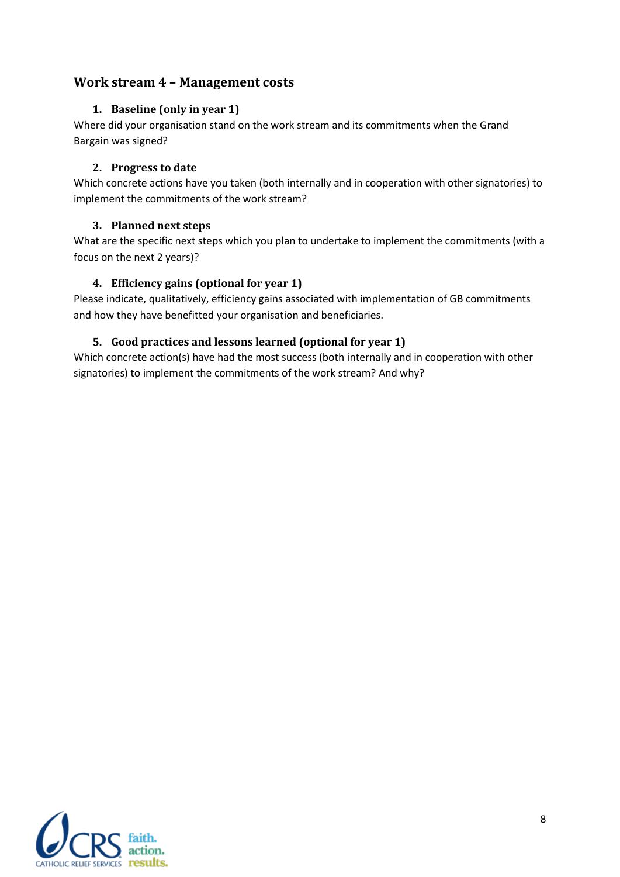# <span id="page-7-1"></span><span id="page-7-0"></span>**Work stream 4 – Management costs**

## **1. Baseline (only in year 1)**

Where did your organisation stand on the work stream and its commitments when the Grand Bargain was signed?

## <span id="page-7-2"></span>**2. Progress to date**

Which concrete actions have you taken (both internally and in cooperation with other signatories) to implement the commitments of the work stream?

## <span id="page-7-3"></span>**3. Planned next steps**

What are the specific next steps which you plan to undertake to implement the commitments (with a focus on the next 2 years)?

# <span id="page-7-4"></span>**4. Efficiency gains (optional for year 1)**

Please indicate, qualitatively, efficiency gains associated with implementation of GB commitments and how they have benefitted your organisation and beneficiaries.

# <span id="page-7-5"></span>**5. Good practices and lessons learned (optional for year 1)**

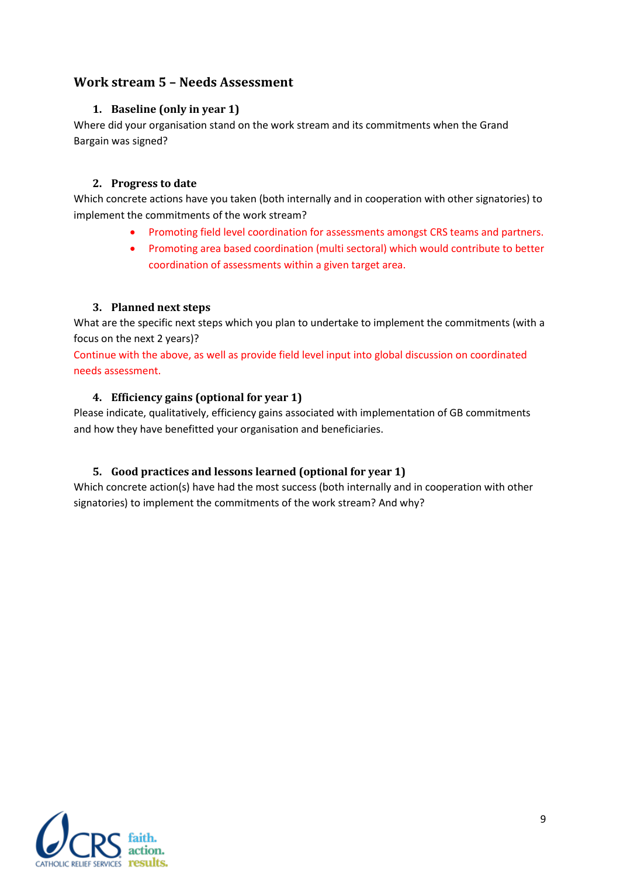# <span id="page-8-1"></span><span id="page-8-0"></span>**Work stream 5 – Needs Assessment**

## **1. Baseline (only in year 1)**

Where did your organisation stand on the work stream and its commitments when the Grand Bargain was signed?

## <span id="page-8-2"></span>**2. Progress to date**

Which concrete actions have you taken (both internally and in cooperation with other signatories) to implement the commitments of the work stream?

- Promoting field level coordination for assessments amongst CRS teams and partners.
- Promoting area based coordination (multi sectoral) which would contribute to better coordination of assessments within a given target area.

## <span id="page-8-3"></span>**3. Planned next steps**

What are the specific next steps which you plan to undertake to implement the commitments (with a focus on the next 2 years)?

Continue with the above, as well as provide field level input into global discussion on coordinated needs assessment.

## <span id="page-8-4"></span>**4. Efficiency gains (optional for year 1)**

Please indicate, qualitatively, efficiency gains associated with implementation of GB commitments and how they have benefitted your organisation and beneficiaries.

## <span id="page-8-5"></span>**5. Good practices and lessons learned (optional for year 1)**

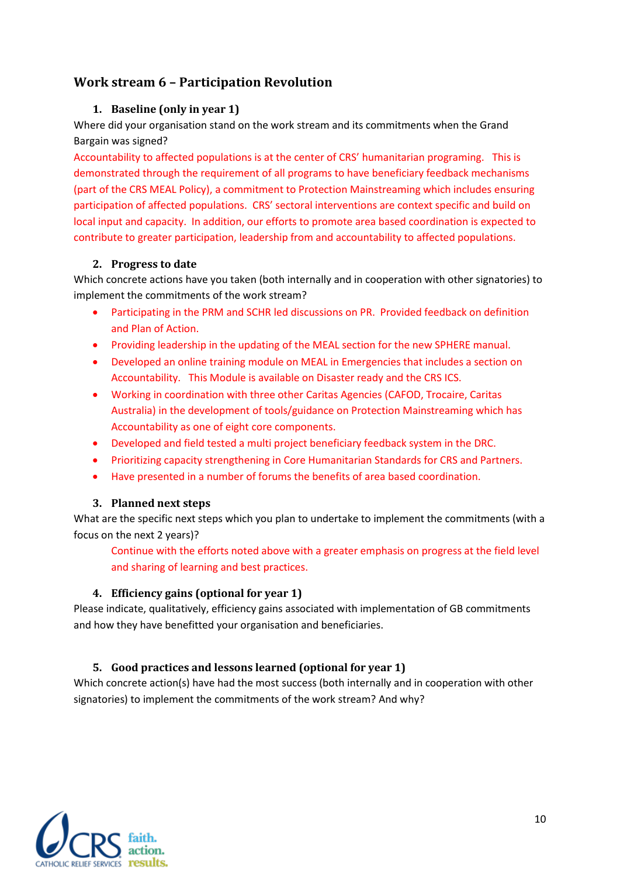# <span id="page-9-1"></span><span id="page-9-0"></span>**Work stream 6 – Participation Revolution**

## **1. Baseline (only in year 1)**

Where did your organisation stand on the work stream and its commitments when the Grand Bargain was signed?

Accountability to affected populations is at the center of CRS' humanitarian programing. This is demonstrated through the requirement of all programs to have beneficiary feedback mechanisms (part of the CRS MEAL Policy), a commitment to Protection Mainstreaming which includes ensuring participation of affected populations. CRS' sectoral interventions are context specific and build on local input and capacity. In addition, our efforts to promote area based coordination is expected to contribute to greater participation, leadership from and accountability to affected populations.

#### <span id="page-9-2"></span>**2. Progress to date**

Which concrete actions have you taken (both internally and in cooperation with other signatories) to implement the commitments of the work stream?

- Participating in the PRM and SCHR led discussions on PR. Provided feedback on definition and Plan of Action.
- Providing leadership in the updating of the MEAL section for the new SPHERE manual.
- Developed an online training module on MEAL in Emergencies that includes a section on Accountability. This Module is available on Disaster ready and the CRS ICS.
- Working in coordination with three other Caritas Agencies (CAFOD, Trocaire, Caritas Australia) in the development of tools/guidance on Protection Mainstreaming which has Accountability as one of eight core components.
- Developed and field tested a multi project beneficiary feedback system in the DRC.
- Prioritizing capacity strengthening in Core Humanitarian Standards for CRS and Partners.
- Have presented in a number of forums the benefits of area based coordination.

#### <span id="page-9-3"></span>**3. Planned next steps**

What are the specific next steps which you plan to undertake to implement the commitments (with a focus on the next 2 years)?

Continue with the efforts noted above with a greater emphasis on progress at the field level and sharing of learning and best practices.

#### <span id="page-9-4"></span>**4. Efficiency gains (optional for year 1)**

Please indicate, qualitatively, efficiency gains associated with implementation of GB commitments and how they have benefitted your organisation and beneficiaries.

## <span id="page-9-5"></span>**5. Good practices and lessons learned (optional for year 1)**

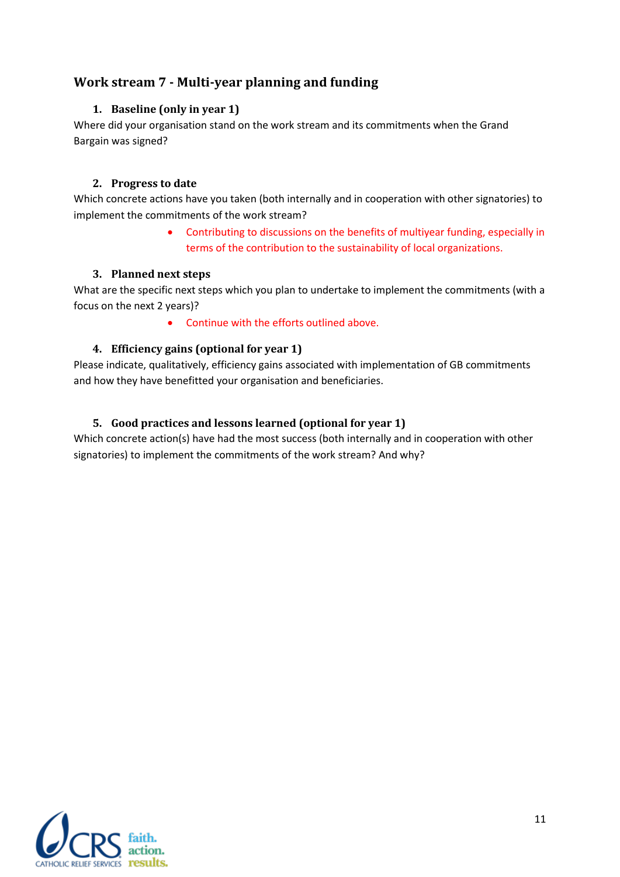# <span id="page-10-1"></span><span id="page-10-0"></span>**Work stream 7 - Multi-year planning and funding**

## **1. Baseline (only in year 1)**

Where did your organisation stand on the work stream and its commitments when the Grand Bargain was signed?

#### <span id="page-10-2"></span>**2. Progress to date**

Which concrete actions have you taken (both internally and in cooperation with other signatories) to implement the commitments of the work stream?

> Contributing to discussions on the benefits of multiyear funding, especially in terms of the contribution to the sustainability of local organizations.

#### <span id="page-10-3"></span>**3. Planned next steps**

What are the specific next steps which you plan to undertake to implement the commitments (with a focus on the next 2 years)?

Continue with the efforts outlined above.

## <span id="page-10-4"></span>**4. Efficiency gains (optional for year 1)**

Please indicate, qualitatively, efficiency gains associated with implementation of GB commitments and how they have benefitted your organisation and beneficiaries.

## <span id="page-10-5"></span>**5. Good practices and lessons learned (optional for year 1)**

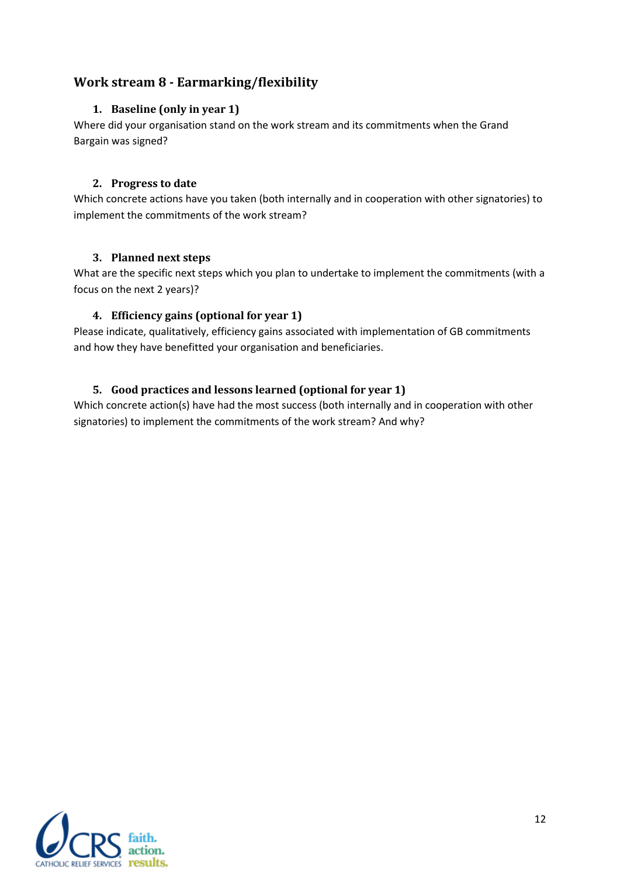# <span id="page-11-1"></span><span id="page-11-0"></span>**Work stream 8 - Earmarking/flexibility**

## **1. Baseline (only in year 1)**

Where did your organisation stand on the work stream and its commitments when the Grand Bargain was signed?

#### <span id="page-11-2"></span>**2. Progress to date**

Which concrete actions have you taken (both internally and in cooperation with other signatories) to implement the commitments of the work stream?

#### <span id="page-11-3"></span>**3. Planned next steps**

What are the specific next steps which you plan to undertake to implement the commitments (with a focus on the next 2 years)?

## <span id="page-11-4"></span>**4. Efficiency gains (optional for year 1)**

Please indicate, qualitatively, efficiency gains associated with implementation of GB commitments and how they have benefitted your organisation and beneficiaries.

# <span id="page-11-5"></span>**5. Good practices and lessons learned (optional for year 1)**

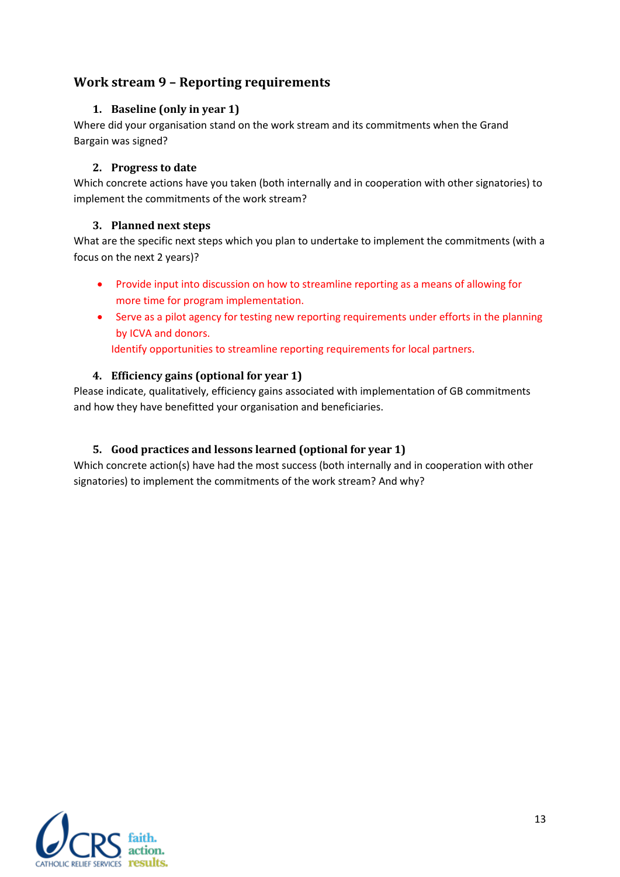# <span id="page-12-1"></span><span id="page-12-0"></span>**Work stream 9 – Reporting requirements**

## **1. Baseline (only in year 1)**

Where did your organisation stand on the work stream and its commitments when the Grand Bargain was signed?

#### <span id="page-12-2"></span>**2. Progress to date**

Which concrete actions have you taken (both internally and in cooperation with other signatories) to implement the commitments of the work stream?

#### <span id="page-12-3"></span>**3. Planned next steps**

What are the specific next steps which you plan to undertake to implement the commitments (with a focus on the next 2 years)?

- <span id="page-12-4"></span> Provide input into discussion on how to streamline reporting as a means of allowing for more time for program implementation.
- Serve as a pilot agency for testing new reporting requirements under efforts in the planning by ICVA and donors.

Identify opportunities to streamline reporting requirements for local partners.

## **4. Efficiency gains (optional for year 1)**

Please indicate, qualitatively, efficiency gains associated with implementation of GB commitments and how they have benefitted your organisation and beneficiaries.

## <span id="page-12-5"></span>**5. Good practices and lessons learned (optional for year 1)**